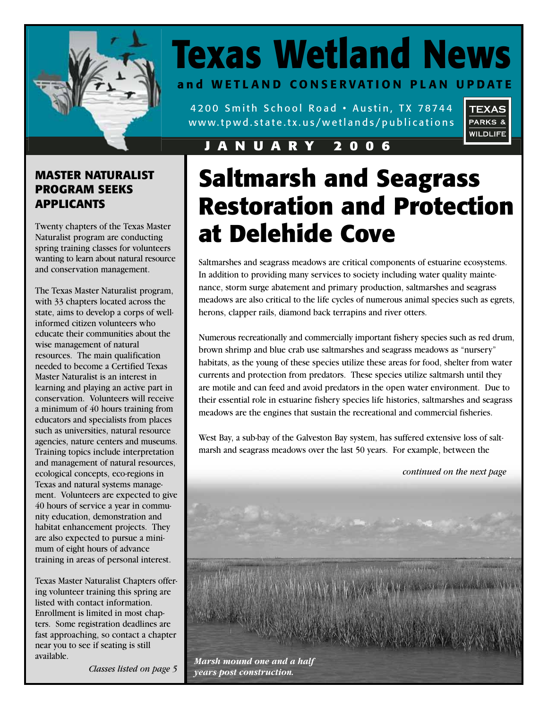

# **Texas Wetland News and WETLAND CONSERVATION PLAN UPDATE**

4200 Smith School Road • Austin, TX 78744 www.tpwd.state.tx.us/wetlands/publications



### **JANUARY 2006**

### **MASTER NATURALIST PROGRAM SEEKS APPLICANTS**

Twenty chapters of the Texas Master Naturalist program are conducting spring training classes for volunteers wanting to learn about natural resource and conservation management.

The Texas Master Naturalist program, with 33 chapters located across the state, aims to develop a corps of wellinformed citizen volunteers who educate their communities about the wise management of natural resources. The main qualification needed to become a Certified Texas Master Naturalist is an interest in learning and playing an active part in conservation. Volunteers will receive a minimum of 40 hours training from educators and specialists from places such as universities, natural resource agencies, nature centers and museums. Training topics include interpretation and management of natural resources, ecological concepts, eco-regions in Texas and natural systems management. Volunteers are expected to give 40 hours of service a year in community education, demonstration and habitat enhancement projects. They are also expected to pursue a minimum of eight hours of advance training in areas of personal interest.

Texas Master Naturalist Chapters offering volunteer training this spring are listed with contact information. Enrollment is limited in most chapters. Some registration deadlines are fast approaching, so contact a chapter near you to see if seating is still available.

# **Saltmarsh and Seagrass Restoration and Protection at Delehide Cove**

Saltmarshes and seagrass meadows are critical components of estuarine ecosystems. In addition to providing many services to society including water quality maintenance, storm surge abatement and primary production, saltmarshes and seagrass meadows are also critical to the life cycles of numerous animal species such as egrets, herons, clapper rails, diamond back terrapins and river otters.

Numerous recreationally and commercially important fishery species such as red drum, brown shrimp and blue crab use saltmarshes and seagrass meadows as "nursery" habitats, as the young of these species utilize these areas for food, shelter from water currents and protection from predators. These species utilize saltmarsh until they are motile and can feed and avoid predators in the open water environment. Due to their essential role in estuarine fishery species life histories, saltmarshes and seagrass meadows are the engines that sustain the recreational and commercial fisheries.

West Bay, a sub-bay of the Galveston Bay system, has suffered extensive loss of saltmarsh and seagrass meadows over the last 50 years. For example, between the

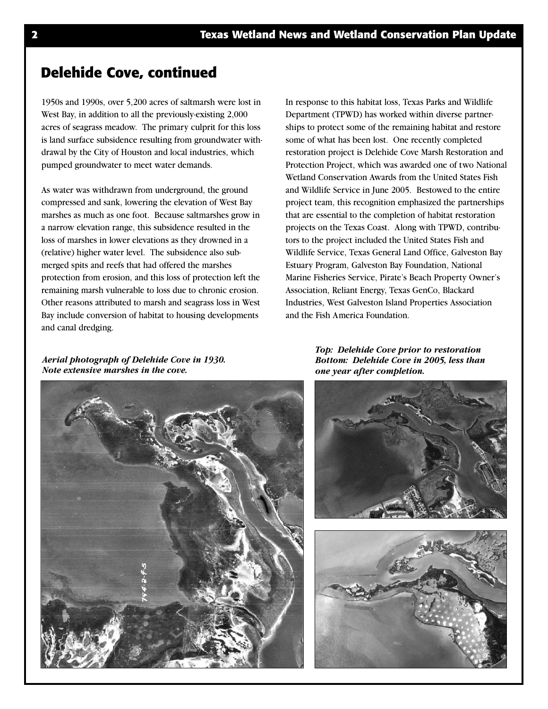### **Delehide Cove, continued**

1950s and 1990s, over 5,200 acres of saltmarsh were lost in West Bay, in addition to all the previously-existing 2,000 acres of seagrass meadow. The primary culprit for this loss is land surface subsidence resulting from groundwater withdrawal by the City of Houston and local industries, which pumped groundwater to meet water demands.

As water was withdrawn from underground, the ground compressed and sank, lowering the elevation of West Bay marshes as much as one foot. Because saltmarshes grow in a narrow elevation range, this subsidence resulted in the loss of marshes in lower elevations as they drowned in a (relative) higher water level. The subsidence also submerged spits and reefs that had offered the marshes protection from erosion, and this loss of protection left the remaining marsh vulnerable to loss due to chronic erosion. Other reasons attributed to marsh and seagrass loss in West Bay include conversion of habitat to housing developments and canal dredging.

In response to this habitat loss, Texas Parks and Wildlife Department (TPWD) has worked within diverse partnerships to protect some of the remaining habitat and restore some of what has been lost. One recently completed restoration project is Delehide Cove Marsh Restoration and Protection Project, which was awarded one of two National Wetland Conservation Awards from the United States Fish and Wildlife Service in June 2005. Bestowed to the entire project team, this recognition emphasized the partnerships that are essential to the completion of habitat restoration projects on the Texas Coast. Along with TPWD, contributors to the project included the United States Fish and Wildlife Service, Texas General Land Office, Galveston Bay Estuary Program, Galveston Bay Foundation, National Marine Fisheries Service, Pirate's Beach Property Owner's Association, Reliant Energy, Texas GenCo, Blackard Industries, West Galveston Island Properties Association and the Fish America Foundation.

*Aerial photograph of Delehide Cove in 1930. Note extensive marshes in the cove.*



*Top: Delehide Cove prior to restoration Bottom: Delehide Cove in 2005, less than one year after completion.*

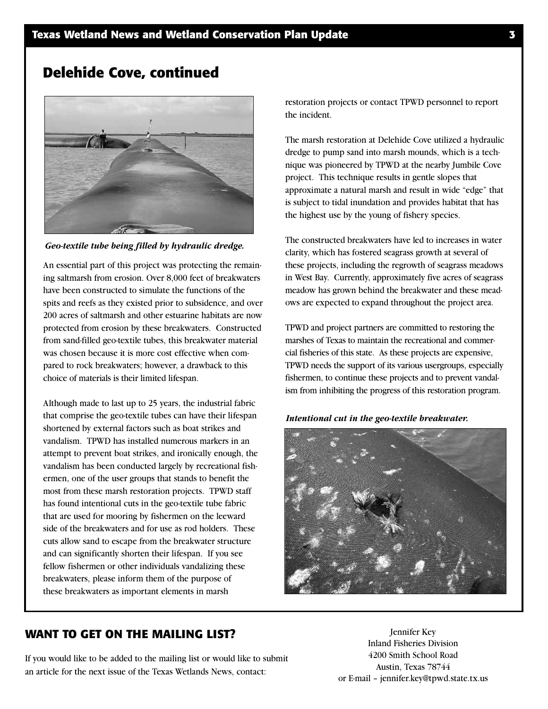### **Delehide Cove, continued**



*Geo-textile tube being filled by hydraulic dredge.*

An essential part of this project was protecting the remaining saltmarsh from erosion. Over 8,000 feet of breakwaters have been constructed to simulate the functions of the spits and reefs as they existed prior to subsidence, and over 200 acres of saltmarsh and other estuarine habitats are now protected from erosion by these breakwaters. Constructed from sand-filled geo-textile tubes, this breakwater material was chosen because it is more cost effective when compared to rock breakwaters; however, a drawback to this choice of materials is their limited lifespan.

Although made to last up to 25 years, the industrial fabric that comprise the geo-textile tubes can have their lifespan shortened by external factors such as boat strikes and vandalism. TPWD has installed numerous markers in an attempt to prevent boat strikes, and ironically enough, the vandalism has been conducted largely by recreational fishermen, one of the user groups that stands to benefit the most from these marsh restoration projects. TPWD staff has found intentional cuts in the geo-textile tube fabric that are used for mooring by fishermen on the leeward side of the breakwaters and for use as rod holders. These cuts allow sand to escape from the breakwater structure and can significantly shorten their lifespan. If you see fellow fishermen or other individuals vandalizing these breakwaters, please inform them of the purpose of these breakwaters as important elements in marsh

restoration projects or contact TPWD personnel to report the incident.

The marsh restoration at Delehide Cove utilized a hydraulic dredge to pump sand into marsh mounds, which is a technique was pioneered by TPWD at the nearby Jumbile Cove project. This technique results in gentle slopes that approximate a natural marsh and result in wide "edge" that is subject to tidal inundation and provides habitat that has the highest use by the young of fishery species.

The constructed breakwaters have led to increases in water clarity, which has fostered seagrass growth at several of these projects, including the regrowth of seagrass meadows in West Bay. Currently, approximately five acres of seagrass meadow has grown behind the breakwater and these meadows are expected to expand throughout the project area.

TPWD and project partners are committed to restoring the marshes of Texas to maintain the recreational and commercial fisheries of this state. As these projects are expensive, TPWD needs the support of its various usergroups, especially fishermen, to continue these projects and to prevent vandalism from inhibiting the progress of this restoration program.

#### *Intentional cut in the geo-textile breakwater.*



#### **WANT TO GET ON THE MAILING LIST?**

If you would like to be added to the mailing list or would like to submit an article for the next issue of the Texas Wetlands News, contact:

Jennifer Key Inland Fisheries Division 4200 Smith School Road Austin, Texas 78744 or E-mail – jennifer.key@tpwd.state.tx.us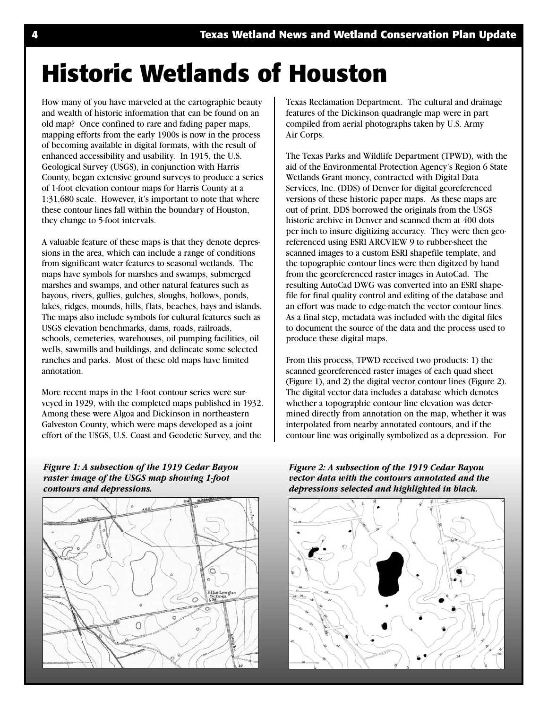# **Historic Wetlands of Houston**

How many of you have marveled at the cartographic beauty and wealth of historic information that can be found on an old map? Once confined to rare and fading paper maps, mapping efforts from the early 1900s is now in the process of becoming available in digital formats, with the result of enhanced accessibility and usability. In 1915, the U.S. Geological Survey (USGS), in conjunction with Harris County, began extensive ground surveys to produce a series of 1-foot elevation contour maps for Harris County at a 1:31,680 scale. However, it's important to note that where these contour lines fall within the boundary of Houston, they change to 5-foot intervals.

A valuable feature of these maps is that they denote depressions in the area, which can include a range of conditions from significant water features to seasonal wetlands. The maps have symbols for marshes and swamps, submerged marshes and swamps, and other natural features such as bayous, rivers, gullies, gulches, sloughs, hollows, ponds, lakes, ridges, mounds, hills, flats, beaches, bays and islands. The maps also include symbols for cultural features such as USGS elevation benchmarks, dams, roads, railroads, schools, cemeteries, warehouses, oil pumping facilities, oil wells, sawmills and buildings, and delineate some selected ranches and parks. Most of these old maps have limited annotation.

More recent maps in the 1-foot contour series were surveyed in 1929, with the completed maps published in 1932. Among these were Algoa and Dickinson in northeastern Galveston County, which were maps developed as a joint effort of the USGS, U.S. Coast and Geodetic Survey, and the

*Figure 1: A subsection of the 1919 Cedar Bayou raster image of the USGS map showing 1-foot contours and depressions.*



Texas Reclamation Department. The cultural and drainage features of the Dickinson quadrangle map were in part compiled from aerial photographs taken by U.S. Army Air Corps.

The Texas Parks and Wildlife Department (TPWD), with the aid of the Environmental Protection Agency's Region 6 State Wetlands Grant money, contracted with Digital Data Services, Inc. (DDS) of Denver for digital georeferenced versions of these historic paper maps. As these maps are out of print, DDS borrowed the originals from the USGS historic archive in Denver and scanned them at 400 dots per inch to insure digitizing accuracy. They were then georeferenced using ESRI ARCVIEW 9 to rubber-sheet the scanned images to a custom ESRI shapefile template, and the topographic contour lines were then digitzed by hand from the georeferenced raster images in AutoCad. The resulting AutoCad DWG was converted into an ESRI shapefile for final quality control and editing of the database and an effort was made to edge-match the vector contour lines. As a final step, metadata was included with the digital files to document the source of the data and the process used to produce these digital maps.

From this process, TPWD received two products: 1) the scanned georeferenced raster images of each quad sheet (Figure 1), and 2) the digital vector contour lines (Figure 2). The digital vector data includes a database which denotes whether a topographic contour line elevation was determined directly from annotation on the map, whether it was interpolated from nearby annotated contours, and if the contour line was originally symbolized as a depression. For

*Figure 2: A subsection of the 1919 Cedar Bayou vector data with the contours annotated and the depressions selected and highlighted in black.*

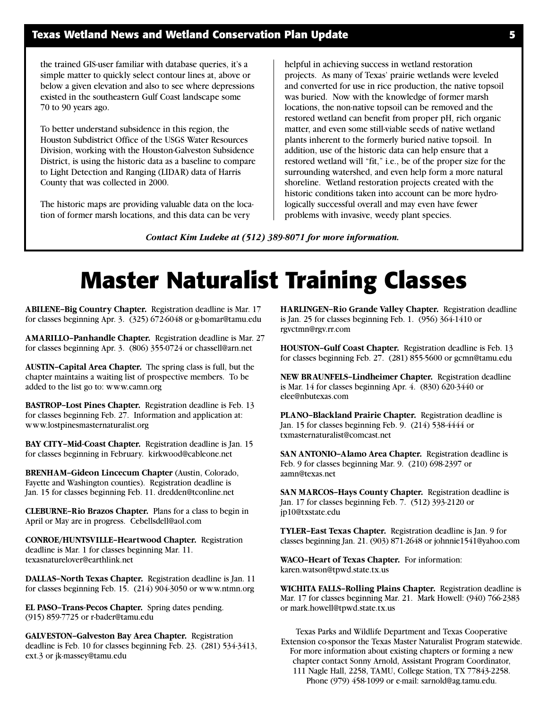the trained GIS-user familiar with database queries, it's a simple matter to quickly select contour lines at, above or below a given elevation and also to see where depressions existed in the southeastern Gulf Coast landscape some 70 to 90 years ago.

To better understand subsidence in this region, the Houston Subdistrict Office of the USGS Water Resources Division, working with the Houston-Galveston Subsidence District, is using the historic data as a baseline to compare to Light Detection and Ranging (LIDAR) data of Harris County that was collected in 2000.

The historic maps are providing valuable data on the location of former marsh locations, and this data can be very

helpful in achieving success in wetland restoration projects. As many of Texas' prairie wetlands were leveled and converted for use in rice production, the native topsoil was buried. Now with the knowledge of former marsh locations, the non-native topsoil can be removed and the restored wetland can benefit from proper pH, rich organic matter, and even some still-viable seeds of native wetland plants inherent to the formerly buried native topsoil. In addition, use of the historic data can help ensure that a restored wetland will "fit," i.e., be of the proper size for the surrounding watershed, and even help form a more natural shoreline. Wetland restoration projects created with the historic conditions taken into account can be more hydrologically successful overall and may even have fewer problems with invasive, weedy plant species.

*Contact Kim Ludeke at (512) 389-8071 for more information.*

# **Master Naturalist Training Classes**

**ABILENE–Big Country Chapter.** Registration deadline is Mar. 17 for classes beginning Apr. 3. (325) 672-6048 or g-bomar@tamu.edu

**AMARILLO–Panhandle Chapter.** Registration deadline is Mar. 27 for classes beginning Apr. 3. (806) 355-0724 or chassell@arn.net

**AUSTIN–Capital Area Chapter.** The spring class is full, but the chapter maintains a waiting list of prospective members. To be added to the list go to: www.camn.org

**BASTROP–Lost Pines Chapter.** Registration deadline is Feb. 13 for classes beginning Feb. 27. Information and application at: www.lostpinesmasternaturalist.org

**BAY CITY–Mid-Coast Chapter.** Registration deadline is Jan. 15 for classes beginning in February. kirkwood@cableone.net

**BRENHAM–Gideon Lincecum Chapter** (Austin, Colorado, Fayette and Washington counties). Registration deadline is Jan. 15 for classes beginning Feb. 11. dredden@tconline.net

**CLEBURNE–Rio Brazos Chapter.** Plans for a class to begin in April or May are in progress. Cebellsdell@aol.com

**CONROE/HUNTSVILLE–Heartwood Chapter.** Registration deadline is Mar. 1 for classes beginning Mar. 11. texasnaturelover@earthlink.net

**DALLAS–North Texas Chapter.** Registration deadline is Jan. 11 for classes beginning Feb. 15. (214) 904-3050 or www.ntmn.org

**EL PASO–Trans-Pecos Chapter.** Spring dates pending. (915) 859-7725 or r-bader@tamu.edu

**GALVESTON–Galveston Bay Area Chapter.** Registration deadline is Feb. 10 for classes beginning Feb. 23. (281) 534-3413, ext.3 or jk-massey@tamu.edu

**HARLINGEN–Rio Grande Valley Chapter.** Registration deadline is Jan. 25 for classes beginning Feb. 1. (956) 364-1410 or rgvctmn@rgv.rr.com

**HOUSTON–Gulf Coast Chapter.** Registration deadline is Feb. 13 for classes beginning Feb. 27. (281) 855-5600 or gcmn@tamu.edu

**NEW BRAUNFELS–Lindheimer Chapter.** Registration deadline is Mar. 14 for classes beginning Apr. 4. (830) 620-3440 or elee@nbutexas.com

**PLANO–Blackland Prairie Chapter.** Registration deadline is Jan. 15 for classes beginning Feb. 9. (214) 538-4444 or txmasternaturalist@comcast.net

**SAN ANTONIO–Alamo Area Chapter.** Registration deadline is Feb. 9 for classes beginning Mar. 9. (210) 698-2397 or aamn@texas.net

**SAN MARCOS–Hays County Chapter.** Registration deadline is Jan. 17 for classes beginning Feb. 7. (512) 393-2120 or jp10@txstate.edu

**TYLER–East Texas Chapter.** Registration deadline is Jan. 9 for classes beginning Jan. 21. (903) 871-2648 or johnnie1541@yahoo.com

**WACO–Heart of Texas Chapter.** For information: karen.watson@tpwd.state.tx.us

**WICHITA FALLS–Rolling Plains Chapter.** Registration deadline is Mar. 17 for classes beginning Mar. 21. Mark Howell: (940) 766-2383 or mark.howell@tpwd.state.tx.us

Texas Parks and Wildlife Department and Texas Cooperative Extension co-sponsor the Texas Master Naturalist Program statewide. For more information about existing chapters or forming a new chapter contact Sonny Arnold, Assistant Program Coordinator,

111 Nagle Hall, 2258, TAMU, College Station, TX 77843-2258. Phone (979) 458-1099 or e-mail: sarnold@ag.tamu.edu.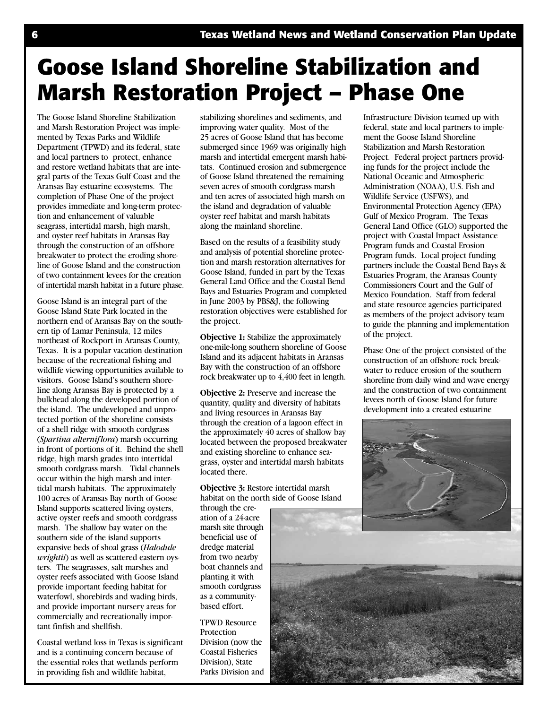# **Goose Island Shoreline Stabilization and Marsh Restoration Project – Phase One**

The Goose Island Shoreline Stabilization and Marsh Restoration Project was implemented by Texas Parks and Wildlife Department (TPWD) and its federal, state and local partners to protect, enhance and restore wetland habitats that are integral parts of the Texas Gulf Coast and the Aransas Bay estuarine ecosystems. The completion of Phase One of the project provides immediate and long-term protection and enhancement of valuable seagrass, intertidal marsh, high marsh, and oyster reef habitats in Aransas Bay through the construction of an offshore breakwater to protect the eroding shoreline of Goose Island and the construction of two containment levees for the creation of intertidal marsh habitat in a future phase.

Goose Island is an integral part of the Goose Island State Park located in the northern end of Aransas Bay on the southern tip of Lamar Peninsula, 12 miles northeast of Rockport in Aransas County, Texas. It is a popular vacation destination because of the recreational fishing and wildlife viewing opportunities available to visitors. Goose Island's southern shoreline along Aransas Bay is protected by a bulkhead along the developed portion of the island. The undeveloped and unprotected portion of the shoreline consists of a shell ridge with smooth cordgrass (*Spartina alterniflora*) marsh occurring in front of portions of it. Behind the shell ridge, high marsh grades into intertidal smooth cordgrass marsh. Tidal channels occur within the high marsh and intertidal marsh habitats. The approximately 100 acres of Aransas Bay north of Goose Island supports scattered living oysters, active oyster reefs and smooth cordgrass marsh. The shallow bay water on the southern side of the island supports expansive beds of shoal grass (*Halodule wrightii*) as well as scattered eastern oysters. The seagrasses, salt marshes and oyster reefs associated with Goose Island provide important feeding habitat for waterfowl, shorebirds and wading birds, and provide important nursery areas for commercially and recreationally important finfish and shellfish.

Coastal wetland loss in Texas is significant and is a continuing concern because of the essential roles that wetlands perform in providing fish and wildlife habitat,

stabilizing shorelines and sediments, and improving water quality. Most of the 25 acres of Goose Island that has become submerged since 1969 was originally high marsh and intertidal emergent marsh habitats. Continued erosion and submergence of Goose Island threatened the remaining seven acres of smooth cordgrass marsh and ten acres of associated high marsh on the island and degradation of valuable oyster reef habitat and marsh habitats along the mainland shoreline.

Based on the results of a feasibility study and analysis of potential shoreline protection and marsh restoration alternatives for Goose Island, funded in part by the Texas General Land Office and the Coastal Bend Bays and Estuaries Program and completed in June 2003 by PBS&J, the following restoration objectives were established for the project.

**Objective 1:** Stabilize the approximately one-mile-long southern shoreline of Goose Island and its adjacent habitats in Aransas Bay with the construction of an offshore rock breakwater up to 4,400 feet in length.

**Objective 2:** Preserve and increase the quantity, quality and diversity of habitats and living resources in Aransas Bay through the creation of a lagoon effect in the approximately 40 acres of shallow bay located between the proposed breakwater and existing shoreline to enhance seagrass, oyster and intertidal marsh habitats located there.

**Objective 3:** Restore intertidal marsh habitat on the north side of Goose Island

through the creation of a 24-acre marsh site through beneficial use of dredge material from two nearby boat channels and planting it with smooth cordgrass as a communitybased effort.

TPWD Resource Protection Division (now the Coastal Fisheries Division), State Parks Division and Infrastructure Division teamed up with federal, state and local partners to implement the Goose Island Shoreline Stabilization and Marsh Restoration Project. Federal project partners providing funds for the project include the National Oceanic and Atmospheric Administration (NOAA), U.S. Fish and Wildlife Service (USFWS), and Environmental Protection Agency (EPA) Gulf of Mexico Program. The Texas General Land Office (GLO) supported the project with Coastal Impact Assistance Program funds and Coastal Erosion Program funds. Local project funding partners include the Coastal Bend Bays & Estuaries Program, the Aransas County Commissioners Court and the Gulf of Mexico Foundation. Staff from federal and state resource agencies participated as members of the project advisory team to guide the planning and implementation of the project.

Phase One of the project consisted of the construction of an offshore rock breakwater to reduce erosion of the southern shoreline from daily wind and wave energy and the construction of two containment levees north of Goose Island for future development into a created estuarine

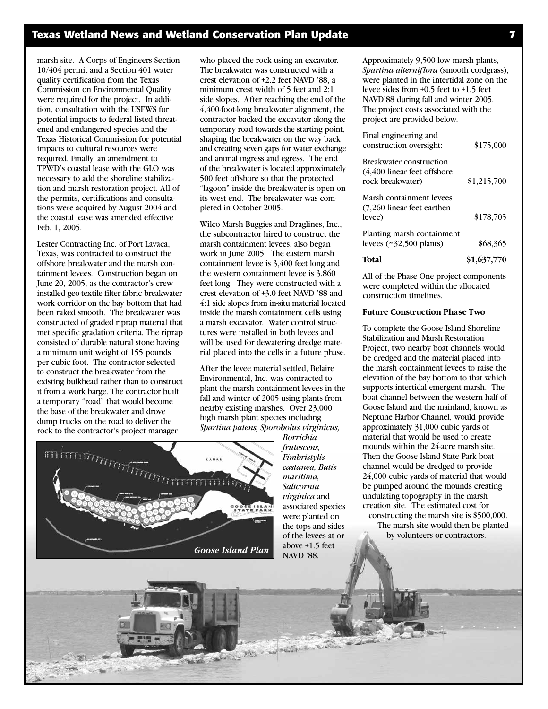### **Texas Wetland News and Wetland Conservation Plan Update 7**

marsh site. A Corps of Engineers Section 10/404 permit and a Section 401 water quality certification from the Texas Commission on Environmental Quality were required for the project. In addition, consultation with the USFWS for potential impacts to federal listed threatened and endangered species and the Texas Historical Commission for potential impacts to cultural resources were required. Finally, an amendment to TPWD's coastal lease with the GLO was necessary to add the shoreline stabilization and marsh restoration project. All of the permits, certifications and consultations were acquired by August 2004 and the coastal lease was amended effective Feb. 1, 2005.

Lester Contracting Inc. of Port Lavaca, Texas, was contracted to construct the offshore breakwater and the marsh containment levees. Construction began on June 20, 2005, as the contractor's crew installed geo-textile filter fabric breakwater work corridor on the bay bottom that had been raked smooth. The breakwater was constructed of graded riprap material that met specific gradation criteria. The riprap consisted of durable natural stone having a minimum unit weight of 155 pounds per cubic foot. The contractor selected to construct the breakwater from the existing bulkhead rather than to construct it from a work barge. The contractor built a temporary "road" that would become the base of the breakwater and drove dump trucks on the road to deliver the rock to the contractor's project manager

who placed the rock using an excavator. The breakwater was constructed with a crest elevation of +2.2 feet NAVD '88, a minimum crest width of 5 feet and 2:1 side slopes. After reaching the end of the 4,400-foot-long breakwater alignment, the contractor backed the excavator along the temporary road towards the starting point, shaping the breakwater on the way back and creating seven gaps for water exchange and animal ingress and egress. The end of the breakwater is located approximately 500 feet offshore so that the protected "lagoon" inside the breakwater is open on its west end. The breakwater was completed in October 2005.

Wilco Marsh Buggies and Draglines, Inc., the subcontractor hired to construct the marsh containment levees, also began work in June 2005. The eastern marsh containment levee is 3,400 feet long and the western containment levee is 3,860 feet long. They were constructed with a crest elevation of +3.0 feet NAVD '88 and 4:1 side slopes from in-situ material located inside the marsh containment cells using a marsh excavator. Water control structures were installed in both levees and will be used for dewatering dredge material placed into the cells in a future phase.

After the levee material settled, Belaire Environmental, Inc. was contracted to plant the marsh containment levees in the fall and winter of 2005 using plants from nearby existing marshes. Over 23,000 high marsh plant species including *Spartina patens, Sporobolus virginicus,*



*Borrichia frutescens, Fimbristylis castanea, Batis maritima, Salicornia virginica* and associated species were planted on the tops and sides of the levees at or above +1.5 feet NAVD '88.

Approximately 9,500 low marsh plants, *Spartina alterniflora* (smooth cordgrass), were planted in the intertidal zone on the levee sides from +0.5 feet to +1.5 feet NAVD'88 during fall and winter 2005. The project costs associated with the project are provided below.

| Final engineering and<br>construction oversight:                            | \$175,000   |
|-----------------------------------------------------------------------------|-------------|
| Breakwater construction<br>(4,400 linear feet offshore)<br>rock breakwater) | \$1,215,700 |
| Marsh containment levees<br>(7,260 linear feet earthen<br>levee)            | \$178,705   |
| Planting marsh containment<br>levees $(\sim 32,500 \text{ plants})$         | \$68,365    |
| Total                                                                       | \$1,637,770 |

All of the Phase One project components were completed within the allocated construction timelines.

#### **Future Construction Phase Two**

To complete the Goose Island Shoreline Stabilization and Marsh Restoration Project, two nearby boat channels would be dredged and the material placed into the marsh containment levees to raise the elevation of the bay bottom to that which supports intertidal emergent marsh. The boat channel between the western half of Goose Island and the mainland, known as Neptune Harbor Channel, would provide approximately 31,000 cubic yards of material that would be used to create mounds within the 24-acre marsh site. Then the Goose Island State Park boat channel would be dredged to provide 24,000 cubic yards of material that would be pumped around the mounds creating undulating topography in the marsh creation site. The estimated cost for constructing the marsh site is \$500,000.

The marsh site would then be planted by volunteers or contractors.